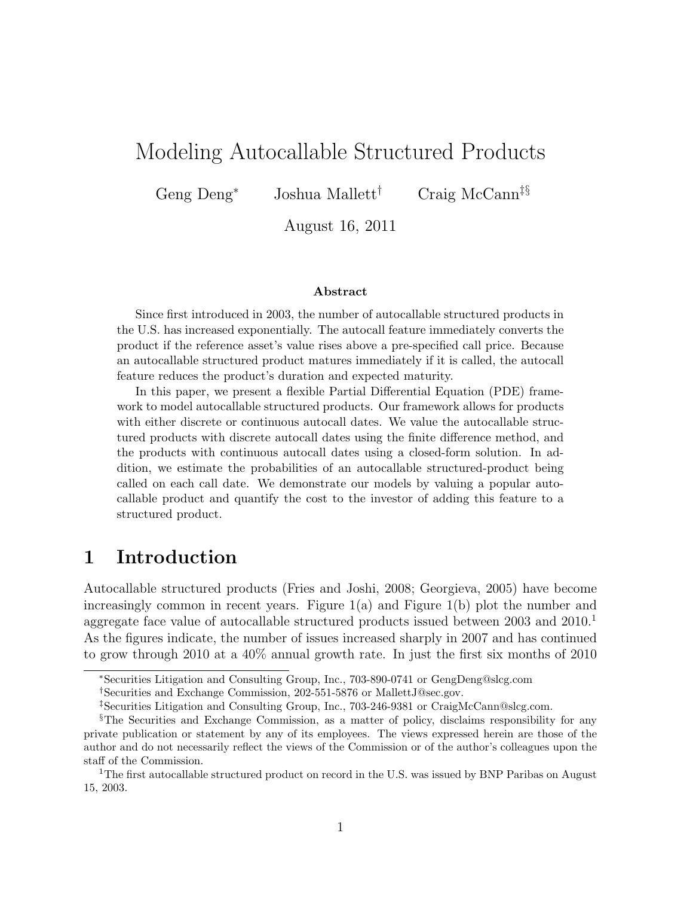# Modeling Autocallable Structured Products

Geng Deng*<sup>∗</sup>* Joshua Mallett*†* Craig McCann*‡§*

August 16, 2011

#### **Abstract**

Since first introduced in 2003, the number of autocallable structured products in the U.S. has increased exponentially. The autocall feature immediately converts the product if the reference asset's value rises above a pre-specified call price. Because an autocallable structured product matures immediately if it is called, the autocall feature reduces the product's duration and expected maturity.

In this paper, we present a flexible Partial Differential Equation (PDE) framework to model autocallable structured products. Our framework allows for products with either discrete or continuous autocall dates. We value the autocallable structured products with discrete autocall dates using the finite difference method, and the products with continuous autocall dates using a closed-form solution. In addition, we estimate the probabilities of an autocallable structured-product being called on each call date. We demonstrate our models by valuing a popular autocallable product and quantify the cost to the investor of adding this feature to a structured product.

## **1 Introduction**

Autocallable structured products (Fries and Joshi, 2008; Georgieva, 2005) have become increasingly common in recent years. Figure  $1(a)$  and Figure  $1(b)$  plot the number and aggregate face value of autocallable structured products issued between  $2003$  and  $2010<sup>1</sup>$ As the figures indicate, the number of issues increased sharply in 2007 and has continued to grow through 2010 at a 40% annual growth rate. In just the first six months of 2010

*<sup>∗</sup>*Securities Litigation and Consulting Group, Inc., 703-890-0741 or GengDeng@slcg.com

*<sup>†</sup>*Securities and Exchange Commission, 202-551-5876 or MallettJ@sec.gov.

*<sup>‡</sup>*Securities Litigation and Consulting Group, Inc., 703-246-9381 or CraigMcCann@slcg.com.

*<sup>§</sup>*The Securities and Exchange Commission, as a matter of policy, disclaims responsibility for any private publication or statement by any of its employees. The views expressed herein are those of the author and do not necessarily reflect the views of the Commission or of the author's colleagues upon the staff of the Commission.

<sup>&</sup>lt;sup>1</sup>The first autocallable structured product on record in the U.S. was issued by BNP Paribas on August 15, 2003.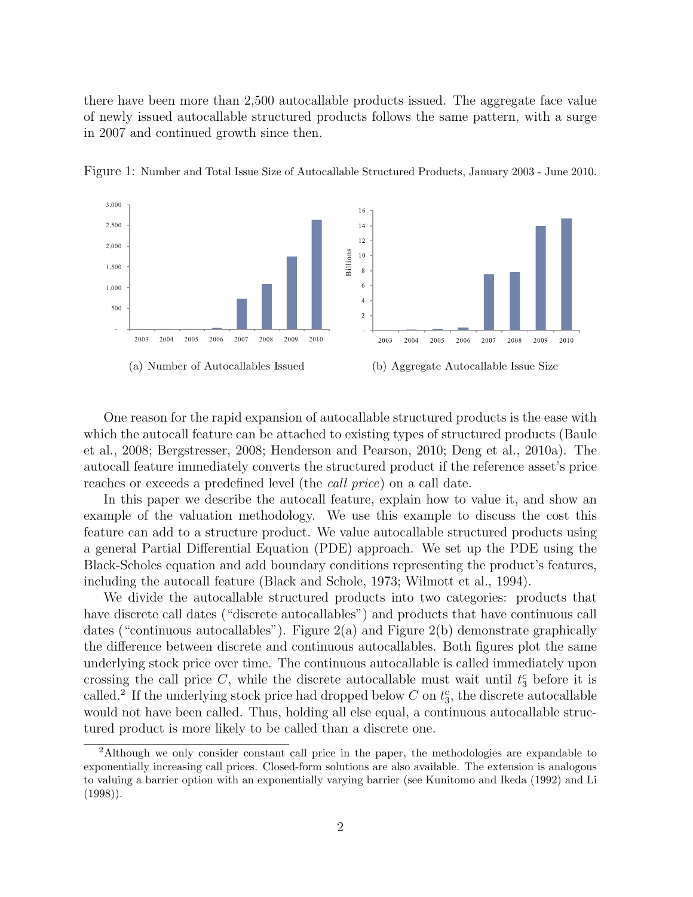there have been more than 2,500 autocallable products issued. The aggregate face value of newly issued autocallable structured products follows the same pattern, with a surge in 2007 and continued growth since then.



Figure 1: Number and Total Issue Size of Autocallable Structured Products, January 2003 - June 2010.

One reason for the rapid expansion of autocallable structured products is the ease with which the autocall feature can be attached to existing types of structured products (Baule et al., 2008; Bergstresser, 2008; Henderson and Pearson, 2010; Deng et al., 2010a). The autocall feature immediately converts the structured product if the reference asset's price reaches or exceeds a predefined level (the *call price*) on a call date.

In this paper we describe the autocall feature, explain how to value it, and show an example of the valuation methodology. We use this example to discuss the cost this feature can add to a structure product. We value autocallable structured products using a general Partial Differential Equation (PDE) approach. We set up the PDE using the Black-Scholes equation and add boundary conditions representing the product's features, including the autocall feature (Black and Schole, 1973; Wilmott et al., 1994).

We divide the autocallable structured products into two categories: products that have discrete call dates ("discrete autocallables") and products that have continuous call dates ("continuous autocallables"). Figure  $2(a)$  and Figure  $2(b)$  demonstrate graphically the difference between discrete and continuous autocallables. Both figures plot the same underlying stock price over time. The continuous autocallable is called immediately upon crossing the call price  $C$ , while the discrete autocallable must wait until  $t_3^c$  before it is called.<sup>2</sup> If the underlying stock price had dropped below  $C$  on  $t_3^c$ , the discrete autocallable would not have been called. Thus, holding all else equal, a continuous autocallable structured product is more likely to be called than a discrete one.

<sup>&</sup>lt;sup>2</sup>Although we only consider constant call price in the paper, the methodologies are expandable to exponentially increasing call prices. Closed-form solutions are also available. The extension is analogous to valuing a barrier option with an exponentially varying barrier (see Kunitomo and Ikeda (1992) and Li  $(1998)$ .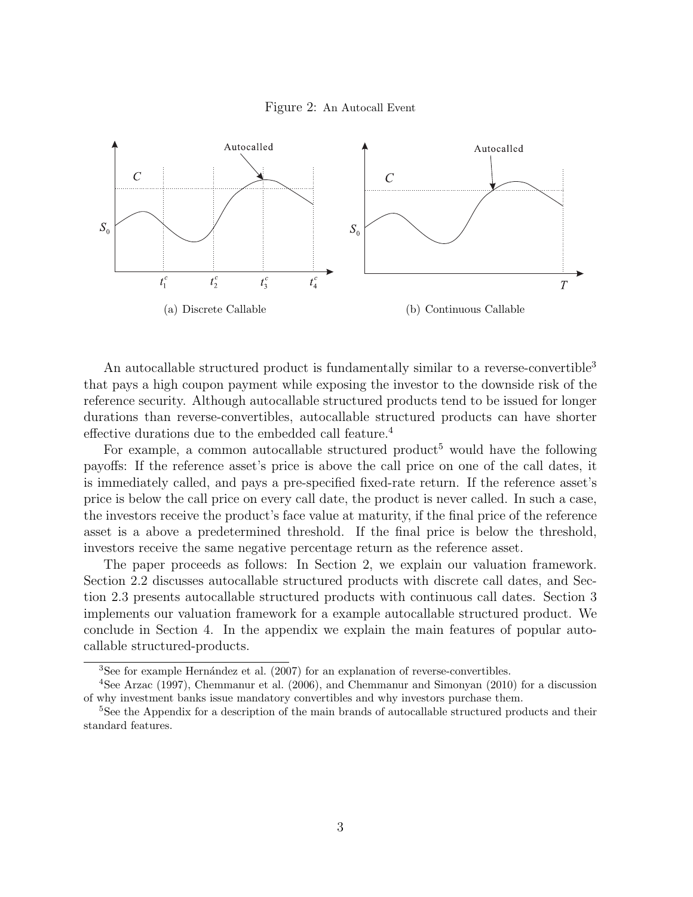



An autocallable structured product is fundamentally similar to a reverse-convertible<sup>3</sup> that pays a high coupon payment while exposing the investor to the downside risk of the reference security. Although autocallable structured products tend to be issued for longer durations than reverse-convertibles, autocallable structured products can have shorter effective durations due to the embedded call feature.<sup>4</sup>

For example, a common autocallable structured product<sup>5</sup> would have the following payoffs: If the reference asset's price is above the call price on one of the call dates, it is immediately called, and pays a pre-specified fixed-rate return. If the reference asset's price is below the call price on every call date, the product is never called. In such a case, the investors receive the product's face value at maturity, if the final price of the reference asset is a above a predetermined threshold. If the final price is below the threshold, investors receive the same negative percentage return as the reference asset.

The paper proceeds as follows: In Section 2, we explain our valuation framework. Section 2.2 discusses autocallable structured products with discrete call dates, and Section 2.3 presents autocallable structured products with continuous call dates. Section 3 implements our valuation framework for a example autocallable structured product. We conclude in Section 4. In the appendix we explain the main features of popular autocallable structured-products.

 $3$ See for example Hernández et al. (2007) for an explanation of reverse-convertibles.

<sup>4</sup>See Arzac (1997), Chemmanur et al. (2006), and Chemmanur and Simonyan (2010) for a discussion of why investment banks issue mandatory convertibles and why investors purchase them.

<sup>&</sup>lt;sup>5</sup>See the Appendix for a description of the main brands of autocallable structured products and their standard features.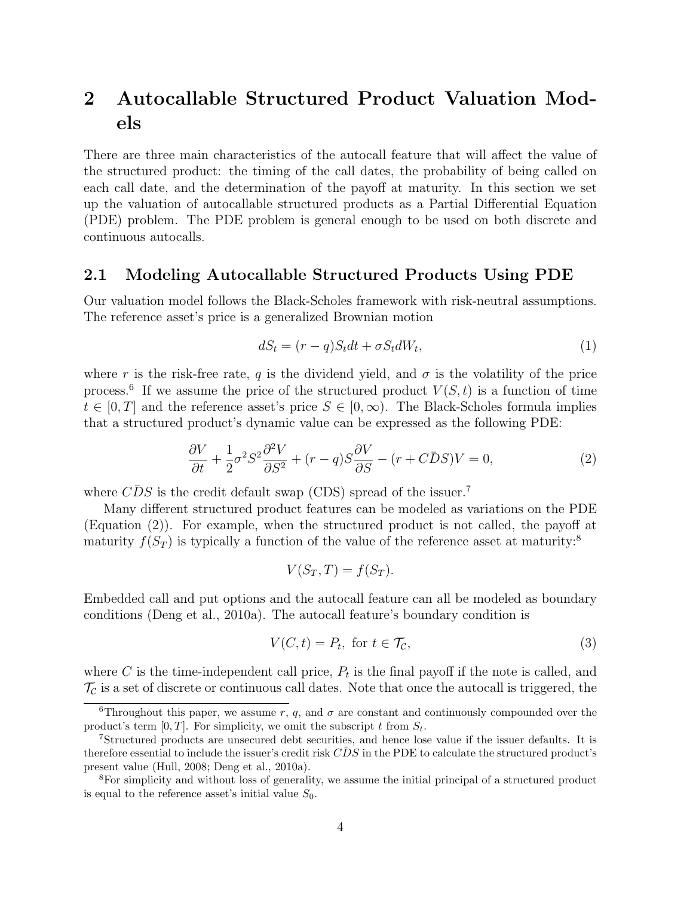# **2 Autocallable Structured Product Valuation Models**

There are three main characteristics of the autocall feature that will affect the value of the structured product: the timing of the call dates, the probability of being called on each call date, and the determination of the payoff at maturity. In this section we set up the valuation of autocallable structured products as a Partial Differential Equation (PDE) problem. The PDE problem is general enough to be used on both discrete and continuous autocalls.

### **2.1 Modeling Autocallable Structured Products Using PDE**

Our valuation model follows the Black-Scholes framework with risk-neutral assumptions. The reference asset's price is a generalized Brownian motion

$$
dS_t = (r - q)S_t dt + \sigma S_t dW_t, \qquad (1)
$$

where *r* is the risk-free rate, *q* is the dividend yield, and  $\sigma$  is the volatility of the price process.<sup>6</sup> If we assume the price of the structured product  $V(S, t)$  is a function of time  $t \in [0, T]$  and the reference asset's price  $S \in [0, \infty)$ . The Black-Scholes formula implies that a structured product's dynamic value can be expressed as the following PDE:

$$
\frac{\partial V}{\partial t} + \frac{1}{2}\sigma^2 S^2 \frac{\partial^2 V}{\partial S^2} + (r - q)S \frac{\partial V}{\partial S} - (r + C\bar{D}S)V = 0,\tag{2}
$$

where  $\overline{CDS}$  is the credit default swap (CDS) spread of the issuer.<sup>7</sup>

Many different structured product features can be modeled as variations on the PDE (Equation (2)). For example, when the structured product is not called, the payoff at maturity  $f(S_T)$  is typically a function of the value of the reference asset at maturity:<sup>8</sup>

$$
V(S_T, T) = f(S_T).
$$

Embedded call and put options and the autocall feature can all be modeled as boundary conditions (Deng et al., 2010a). The autocall feature's boundary condition is

$$
V(C, t) = P_t, \text{ for } t \in \mathcal{T}_C,
$$
\n
$$
(3)
$$

where  $C$  is the time-independent call price,  $P_t$  is the final payoff if the note is called, and  $\mathcal{T}_{\mathcal{C}}$  is a set of discrete or continuous call dates. Note that once the autocall is triggered, the

<sup>&</sup>lt;sup>6</sup>Throughout this paper, we assume  $r$ ,  $q$ , and  $\sigma$  are constant and continuously compounded over the product's term  $[0, T]$ . For simplicity, we omit the subscript *t* from  $S_t$ .

<sup>7</sup>Structured products are unsecured debt securities, and hence lose value if the issuer defaults. It is therefore essential to include the issuer's credit risk *CDS* in the PDE to calculate the structured product's present value (Hull, 2008; Deng et al., 2010a).

<sup>8</sup>For simplicity and without loss of generality, we assume the initial principal of a structured product is equal to the reference asset's initial value  $S_0$ .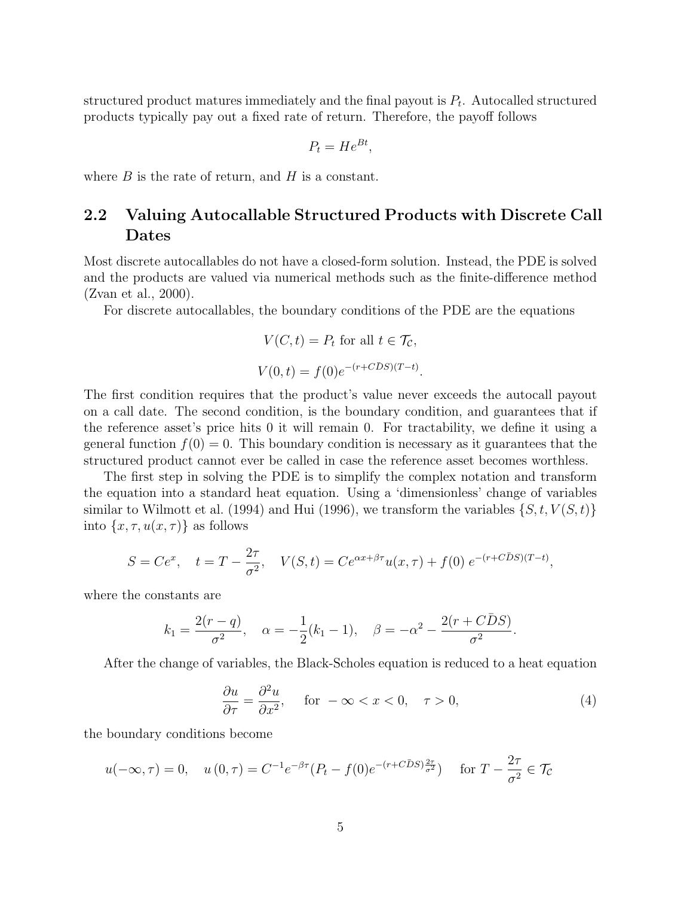structured product matures immediately and the final payout is *P<sup>t</sup>* . Autocalled structured products typically pay out a fixed rate of return. Therefore, the payoff follows

$$
P_t = He^{Bt},
$$

where *B* is the rate of return, and *H* is a constant.

## **2.2 Valuing Autocallable Structured Products with Discrete Call Dates**

Most discrete autocallables do not have a closed-form solution. Instead, the PDE is solved and the products are valued via numerical methods such as the finite-difference method (Zvan et al., 2000).

For discrete autocallables, the boundary conditions of the PDE are the equations

$$
V(C, t) = P_t \text{ for all } t \in \mathcal{T}_C,
$$
  

$$
V(0, t) = f(0)e^{-(r+C\bar{D}S)(T-t)}.
$$

The first condition requires that the product's value never exceeds the autocall payout on a call date. The second condition, is the boundary condition, and guarantees that if the reference asset's price hits 0 it will remain 0. For tractability, we define it using a general function  $f(0) = 0$ . This boundary condition is necessary as it guarantees that the structured product cannot ever be called in case the reference asset becomes worthless.

The first step in solving the PDE is to simplify the complex notation and transform the equation into a standard heat equation. Using a 'dimensionless' change of variables similar to Wilmott et al. (1994) and Hui (1996), we transform the variables  $\{S, t, V(S, t)\}$ into  $\{x, \tau, u(x, \tau)\}\)$  as follows

$$
S = Ce^{x}, \quad t = T - \frac{2\tau}{\sigma^2}, \quad V(S, t) = Ce^{\alpha x + \beta \tau} u(x, \tau) + f(0) e^{-(r + C\bar{D}S)(T - t)},
$$

where the constants are

$$
k_1 = \frac{2(r-q)}{\sigma^2}
$$
,  $\alpha = -\frac{1}{2}(k_1 - 1)$ ,  $\beta = -\alpha^2 - \frac{2(r + C\bar{D}S)}{\sigma^2}$ .

After the change of variables, the Black-Scholes equation is reduced to a heat equation

$$
\frac{\partial u}{\partial \tau} = \frac{\partial^2 u}{\partial x^2}, \quad \text{for } -\infty < x < 0, \quad \tau > 0,\tag{4}
$$

the boundary conditions become

$$
u(-\infty, \tau) = 0, \quad u(0, \tau) = C^{-1} e^{-\beta \tau} (P_t - f(0) e^{-(r + C\bar{D}S)\frac{2\tau}{\sigma^2}}) \quad \text{for } T - \frac{2\tau}{\sigma^2} \in \mathcal{T}_C
$$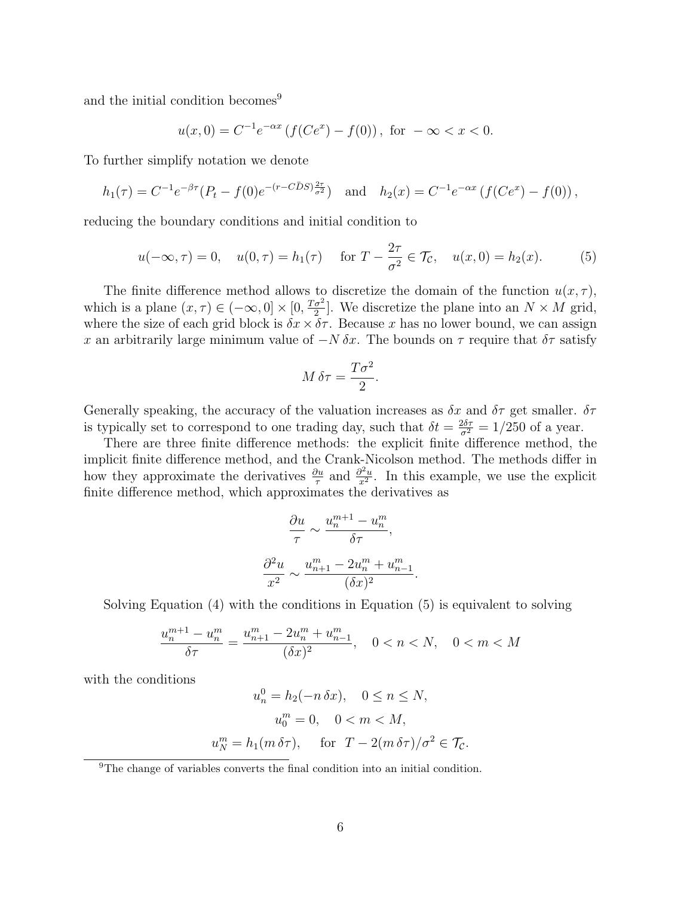and the initial condition becomes<sup>9</sup>

$$
u(x, 0) = C^{-1}e^{-\alpha x} (f(Ce^{x}) - f(0)), \text{ for } -\infty < x < 0.
$$

To further simplify notation we denote

$$
h_1(\tau) = C^{-1} e^{-\beta \tau} (P_t - f(0) e^{-(r - C\bar{D}S) \frac{2\tau}{\sigma^2}})
$$
 and  $h_2(x) = C^{-1} e^{-\alpha x} (f(Ce^x) - f(0)),$ 

reducing the boundary conditions and initial condition to

$$
u(-\infty, \tau) = 0
$$
,  $u(0, \tau) = h_1(\tau)$  for  $T - \frac{2\tau}{\sigma^2} \in \mathcal{T}_c$ ,  $u(x, 0) = h_2(x)$ . (5)

The finite difference method allows to discretize the domain of the function  $u(x, \tau)$ , which is a plane  $(x, \tau) \in (-\infty, 0] \times [0, \frac{T\sigma^2}{2}]$  $\frac{\sigma^2}{2}$ . We discretize the plane into an  $N \times M$  grid, where the size of each grid block is  $\delta x \times \delta \tau$ . Because *x* has no lower bound, we can assign *x* an arbitrarily large minimum value of  $-V \delta x$ . The bounds on  $\tau$  require that  $\delta \tau$  satisfy

$$
M \,\delta \tau = \frac{T \sigma^2}{2}.
$$

Generally speaking, the accuracy of the valuation increases as *δx* and *δτ* get smaller. *δτ* is typically set to correspond to one trading day, such that  $\delta t = \frac{2\delta\tau}{\sigma^2} = 1/250$  of a year.

There are three finite difference methods: the explicit finite difference method, the implicit finite difference method, and the Crank-Nicolson method. The methods differ in how they approximate the derivatives  $\frac{\partial u}{\tau}$  and  $\frac{\partial^2 u}{\partial x^2}$  $\frac{\partial^2 u}{\partial x^2}$ . In this example, we use the explicit finite difference method, which approximates the derivatives as

$$
\frac{\partial u}{\tau} \sim \frac{u_n^{m+1} - u_n^m}{\delta \tau},
$$

$$
\frac{\partial^2 u}{\partial x^2} \sim \frac{u_{n+1}^m - 2u_n^m + u_{n-1}^m}{(\delta x)^2}
$$

*.*

Solving Equation (4) with the conditions in Equation (5) is equivalent to solving

$$
\frac{u_n^{m+1} - u_n^m}{\delta \tau} = \frac{u_{n+1}^m - 2u_n^m + u_{n-1}^m}{(\delta x)^2}, \quad 0 < n < N, \quad 0 < m < M
$$

with the conditions

$$
u_n^0 = h_2(-n \delta x), \quad 0 \le n \le N,
$$
  
\n
$$
u_0^m = 0, \quad 0 < m < M,
$$
  
\n
$$
u_N^m = h_1(m \delta \tau), \quad \text{for } T - 2(m \delta \tau) / \sigma^2 \in \mathcal{T}_C.
$$

<sup>&</sup>lt;sup>9</sup>The change of variables converts the final condition into an initial condition.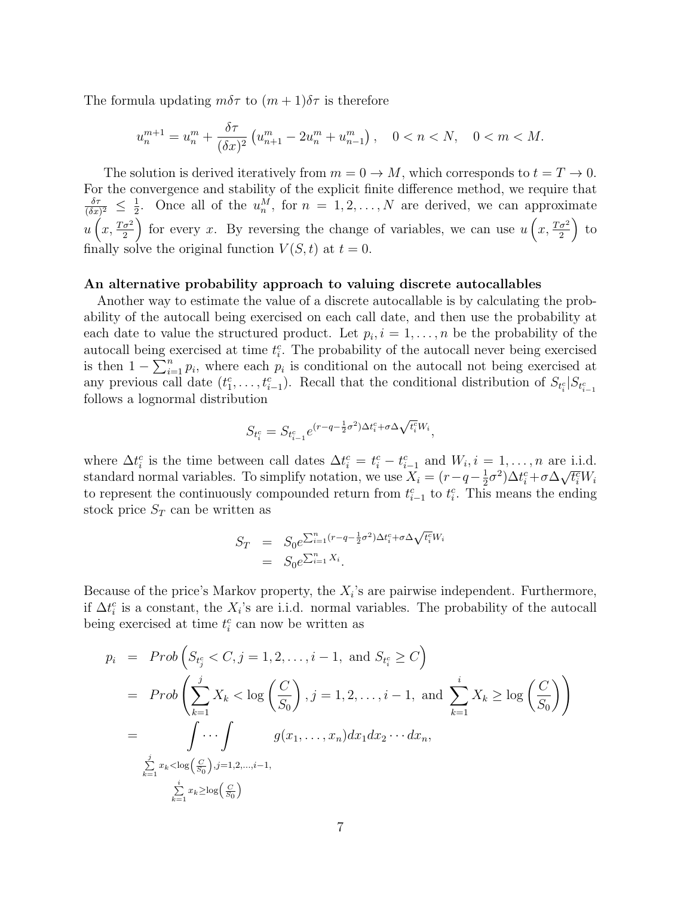The formula updating  $m\delta\tau$  to  $(m+1)\delta\tau$  is therefore

$$
u_n^{m+1} = u_n^m + \frac{\delta \tau}{(\delta x)^2} \left( u_{n+1}^m - 2u_n^m + u_{n-1}^m \right), \quad 0 < n < N, \quad 0 < m < M.
$$

The solution is derived iteratively from  $m = 0 \rightarrow M$ , which corresponds to  $t = T \rightarrow 0$ . For the convergence and stability of the explicit finite difference method, we require that *δτ*  $\frac{\delta \tau}{(\delta x)^2} \leq \frac{1}{2}$ <sup>1</sup>/<sub>2</sub>. Once all of the  $u_n^M$ , for  $n = 1, 2, ..., N$  are derived, we can approximate  $u\left(x,\frac{T\sigma^2}{2}\right)$ for every *x*. By reversing the change of variables, we can use  $u\left(x, \frac{T\sigma^2}{2}\right)$ ) to finally solve the original function  $V(S, t)$  at  $t = 0$ .

#### **An alternative probability approach to valuing discrete autocallables**

Another way to estimate the value of a discrete autocallable is by calculating the probability of the autocall being exercised on each call date, and then use the probability at each date to value the structured product. Let  $p_i, i = 1, \ldots, n$  be the probability of the autocall being exercised at time  $t_i^c$ . The probability of the autocall never being exercised is then  $1 - \sum_{i=1}^{n} p_i$ , where each  $p_i$  is conditional on the autocall not being exercised at any previous call date  $(t_1^c, \ldots, t_{i-1}^c)$ . Recall that the conditional distribution of  $S_{t_i^c} | S_{t_{i-1}^c}$ follows a lognormal distribution

$$
S_{t_i^c} = S_{t_{i-1}^c} e^{(r-q-\frac{1}{2}\sigma^2)\Delta t_i^c + \sigma \Delta \sqrt{t_i^c} W_i},
$$

where  $\Delta t_i^c$  is the time between call dates  $\Delta t_i^c = t_i^c - t_{i-1}^c$  and  $W_i, i = 1, \ldots, n$  are i.i.d. standard normal variables. To simplify notation, we use  $X_i = (r - q - \frac{1}{2})$  $(\frac{1}{2}\sigma^2)\Delta t_i^c + \sigma \Delta \sqrt{t_i^c}W_i$ to represent the continuously compounded return from  $t_{i-1}^c$  to  $t_i^c$ . This means the ending stock price *S<sup>T</sup>* can be written as

$$
S_T = S_0 e^{\sum_{i=1}^n (r - q - \frac{1}{2}\sigma^2) \Delta t_i^c + \sigma \Delta \sqrt{t_i^c} W_i}
$$
  
= 
$$
S_0 e^{\sum_{i=1}^n X_i}.
$$

Because of the price's Markov property, the  $X_i$ 's are pairwise independent. Furthermore, if  $\Delta t_i^c$  is a constant, the  $X_i$ 's are i.i.d. normal variables. The probability of the autocall being exercised at time  $t_i^c$  can now be written as

$$
p_{i} = Prob\left(S_{t_{j}^{c}} < C, j = 1, 2, \dots, i - 1, \text{ and } S_{t_{i}^{c}} \ge C\right)
$$
\n
$$
= Prob\left(\sum_{k=1}^{j} X_{k} < \log\left(\frac{C}{S_{0}}\right), j = 1, 2, \dots, i - 1, \text{ and } \sum_{k=1}^{i} X_{k} \ge \log\left(\frac{C}{S_{0}}\right)\right)
$$
\n
$$
= \int \cdots \int g(x_{1}, \dots, x_{n}) dx_{1} dx_{2} \cdots dx_{n},
$$
\n
$$
\sum_{k=1}^{j} x_{k} < \log\left(\frac{C}{S_{0}}\right), j = 1, 2, \dots, i - 1,
$$
\n
$$
\sum_{k=1}^{i} x_{k} \ge \log\left(\frac{C}{S_{0}}\right)
$$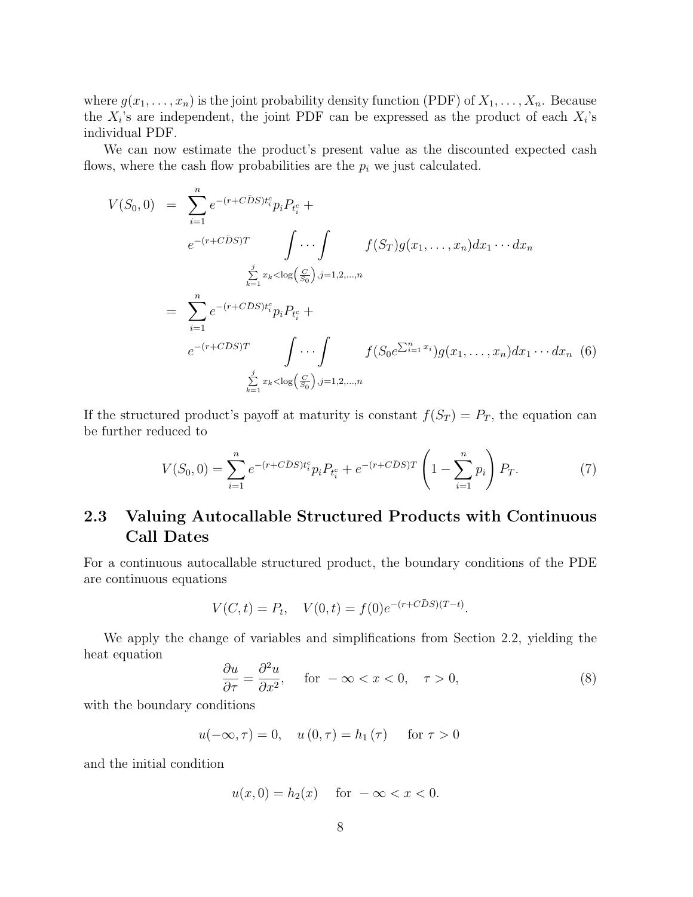where  $g(x_1, \ldots, x_n)$  is the joint probability density function (PDF) of  $X_1, \ldots, X_n$ . Because the  $X_i$ 's are independent, the joint PDF can be expressed as the product of each  $X_i$ 's individual PDF.

We can now estimate the product's present value as the discounted expected cash flows, where the cash flow probabilities are the  $p_i$  we just calculated.

$$
V(S_0, 0) = \sum_{i=1}^{n} e^{-(r+C\bar{D}S)t_i^c} p_i P_{t_i^c} +
$$
  
\n
$$
e^{-(r+C\bar{D}S)T} \int \cdots \int f(S_T) g(x_1, \ldots, x_n) dx_1 \cdots dx_n
$$
  
\n
$$
\sum_{k=1}^{j} x_k \langle \log \left( \frac{C}{S_0} \right), j=1,2,\ldots,n
$$
  
\n
$$
= \sum_{i=1}^{n} e^{-(r+C\bar{D}S)t_i^c} p_i P_{t_i^c} +
$$
  
\n
$$
e^{-(r+C\bar{D}S)T} \int \cdots \int f(S_0 e^{\sum_{i=1}^{n} x_i}) g(x_1, \ldots, x_n) dx_1 \cdots dx_n
$$
 (6)  
\n
$$
\sum_{k=1}^{j} x_k \langle \log \left( \frac{C}{S_0} \right), j=1,2,\ldots,n
$$

If the structured product's payoff at maturity is constant  $f(S_T) = P_T$ , the equation can be further reduced to

$$
V(S_0, 0) = \sum_{i=1}^{n} e^{-(r+C\bar{D}S)t_i^c} p_i P_{t_i^c} + e^{-(r+C\bar{D}S)T} \left(1 - \sum_{i=1}^{n} p_i\right) P_T.
$$
 (7)

## **2.3 Valuing Autocallable Structured Products with Continuous Call Dates**

For a continuous autocallable structured product, the boundary conditions of the PDE are continuous equations

$$
V(C, t) = P_t, \quad V(0, t) = f(0)e^{-(r + C\bar{D}S)(T-t)}.
$$

We apply the change of variables and simplifications from Section 2.2, yielding the heat equation

$$
\frac{\partial u}{\partial \tau} = \frac{\partial^2 u}{\partial x^2}, \quad \text{for } -\infty < x < 0, \quad \tau > 0,\tag{8}
$$

with the boundary conditions

$$
u(-\infty, \tau) = 0
$$
,  $u(0, \tau) = h_1(\tau)$  for  $\tau > 0$ 

and the initial condition

$$
u(x, 0) = h_2(x)
$$
 for  $-\infty < x < 0$ .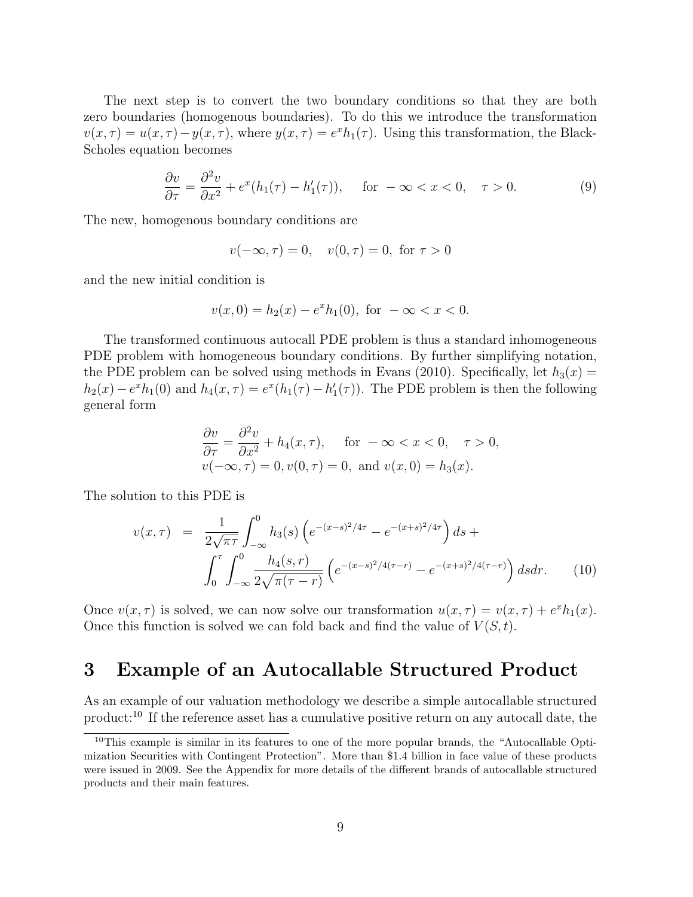The next step is to convert the two boundary conditions so that they are both zero boundaries (homogenous boundaries). To do this we introduce the transformation  $v(x,\tau) = u(x,\tau) - y(x,\tau)$ , where  $y(x,\tau) = e^x h_1(\tau)$ . Using this transformation, the Black-Scholes equation becomes

$$
\frac{\partial v}{\partial \tau} = \frac{\partial^2 v}{\partial x^2} + e^x (h_1(\tau) - h_1'(\tau)), \quad \text{for } -\infty < x < 0, \quad \tau > 0. \tag{9}
$$

The new, homogenous boundary conditions are

$$
v(-\infty, \tau) = 0
$$
,  $v(0, \tau) = 0$ , for  $\tau > 0$ 

and the new initial condition is

$$
v(x, 0) = h_2(x) - e^x h_1(0), \text{ for } -\infty < x < 0.
$$

The transformed continuous autocall PDE problem is thus a standard inhomogeneous PDE problem with homogeneous boundary conditions. By further simplifying notation, the PDE problem can be solved using methods in Evans (2010). Specifically, let  $h_3(x) =$  $h_2(x) - e^x h_1(0)$  and  $h_4(x, \tau) = e^x (h_1(\tau) - h'_1(\tau))$ . The PDE problem is then the following general form

$$
\frac{\partial v}{\partial \tau} = \frac{\partial^2 v}{\partial x^2} + h_4(x, \tau), \quad \text{for } -\infty < x < 0, \quad \tau > 0,
$$
\n
$$
v(-\infty, \tau) = 0, v(0, \tau) = 0, \text{ and } v(x, 0) = h_3(x).
$$

The solution to this PDE is

$$
v(x,\tau) = \frac{1}{2\sqrt{\pi\tau}} \int_{-\infty}^{0} h_3(s) \left( e^{-(x-s)^2/4\tau} - e^{-(x+s)^2/4\tau} \right) ds + \int_{0}^{\tau} \int_{-\infty}^{0} \frac{h_4(s,r)}{2\sqrt{\pi(\tau-r)}} \left( e^{-(x-s)^2/4(\tau-r)} - e^{-(x+s)^2/4(\tau-r)} \right) ds dr. \tag{10}
$$

Once  $v(x, \tau)$  is solved, we can now solve our transformation  $u(x, \tau) = v(x, \tau) + e^{x}h_1(x)$ . Once this function is solved we can fold back and find the value of  $V(S, t)$ .

## **3 Example of an Autocallable Structured Product**

As an example of our valuation methodology we describe a simple autocallable structured product:<sup>10</sup> If the reference asset has a cumulative positive return on any autocall date, the

<sup>10</sup>This example is similar in its features to one of the more popular brands, the "Autocallable Optimization Securities with Contingent Protection". More than \$1.4 billion in face value of these products were issued in 2009. See the Appendix for more details of the different brands of autocallable structured products and their main features.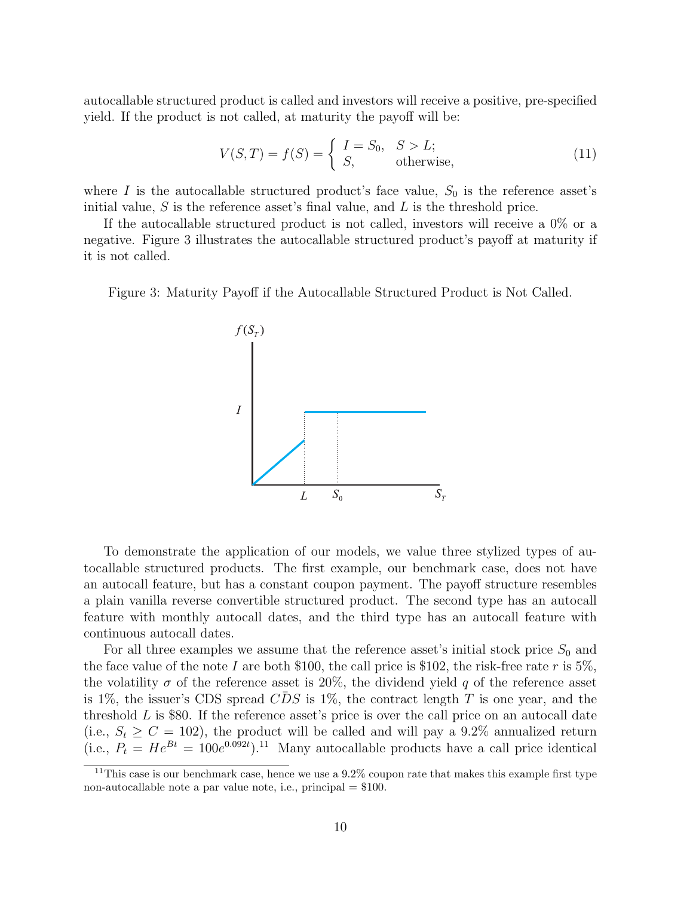autocallable structured product is called and investors will receive a positive, pre-specified yield. If the product is not called, at maturity the payoff will be:

$$
V(S,T) = f(S) = \begin{cases} I = S_0, & S > L; \\ S, & \text{otherwise,} \end{cases} \tag{11}
$$

where *I* is the autocallable structured product's face value,  $S_0$  is the reference asset's initial value, *S* is the reference asset's final value, and *L* is the threshold price.

If the autocallable structured product is not called, investors will receive a 0% or a negative. Figure 3 illustrates the autocallable structured product's payoff at maturity if it is not called.

Figure 3: Maturity Payoff if the Autocallable Structured Product is Not Called.



To demonstrate the application of our models, we value three stylized types of autocallable structured products. The first example, our benchmark case, does not have an autocall feature, but has a constant coupon payment. The payoff structure resembles a plain vanilla reverse convertible structured product. The second type has an autocall feature with monthly autocall dates, and the third type has an autocall feature with continuous autocall dates.

For all three examples we assume that the reference asset's initial stock price  $S_0$  and the face value of the note *I* are both \$100, the call price is \$102, the risk-free rate  $r$  is 5%, the volatility  $\sigma$  of the reference asset is 20%, the dividend yield q of the reference asset is 1%, the issuer's CDS spread  $\overline{CDS}$  is 1%, the contract length *T* is one year, and the threshold *L* is \$80. If the reference asset's price is over the call price on an autocall date (i.e.,  $S_t \geq C = 102$ ), the product will be called and will pay a 9.2% annualized return (i.e.,  $P_t = He^{Bt} = 100e^{0.092t}$ ).<sup>11</sup> Many autocallable products have a call price identical

<sup>&</sup>lt;sup>11</sup>This case is our benchmark case, hence we use a  $9.2\%$  coupon rate that makes this example first type non-autocallable note a par value note, i.e., principal  $= $100$ .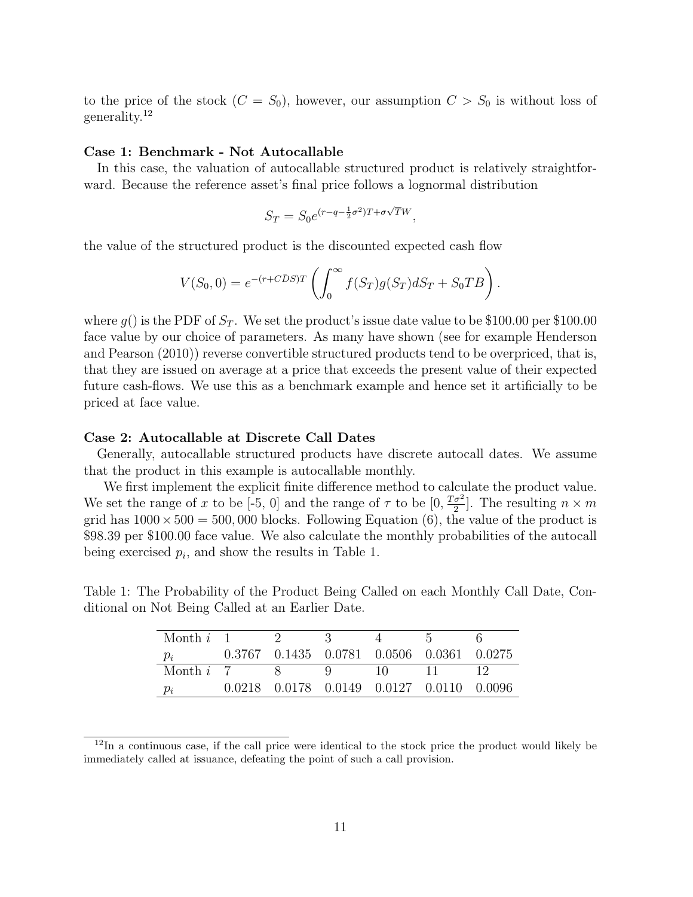to the price of the stock  $(C = S_0)$ , however, our assumption  $C > S_0$  is without loss of generality.<sup>12</sup>

#### **Case 1: Benchmark - Not Autocallable**

In this case, the valuation of autocallable structured product is relatively straightforward. Because the reference asset's final price follows a lognormal distribution

$$
S_T = S_0 e^{(r - q - \frac{1}{2}\sigma^2)T + \sigma\sqrt{T}W},
$$

the value of the structured product is the discounted expected cash flow

$$
V(S_0, 0) = e^{-(r+C\bar{D}S)T} \left( \int_0^\infty f(S_T)g(S_T)dS_T + S_0TB \right).
$$

where  $g()$  is the PDF of  $S_T$ . We set the product's issue date value to be \$100.00 per \$100.00 face value by our choice of parameters. As many have shown (see for example Henderson and Pearson (2010)) reverse convertible structured products tend to be overpriced, that is, that they are issued on average at a price that exceeds the present value of their expected future cash-flows. We use this as a benchmark example and hence set it artificially to be priced at face value.

#### **Case 2: Autocallable at Discrete Call Dates**

Generally, autocallable structured products have discrete autocall dates. We assume that the product in this example is autocallable monthly.

We first implement the explicit finite difference method to calculate the product value. We set the range of *x* to be [-5, 0] and the range of  $\tau$  to be  $[0, \frac{T\sigma^2}{2}]$  $\frac{\sigma^2}{2}$ . The resulting  $n \times m$ grid has  $1000 \times 500 = 500,000$  blocks. Following Equation (6), the value of the product is \$98.39 per \$100.00 face value. We also calculate the monthly probabilities of the autocall being exercised  $p_i$ , and show the results in Table 1.

Table 1: The Probability of the Product Being Called on each Monthly Call Date, Conditional on Not Being Called at an Earlier Date.

| Month $i$   |                                              |     |        |
|-------------|----------------------------------------------|-----|--------|
| $p_i$       | 0.3767 0.1435 0.0781 0.0506 0.0361 0.0275    |     |        |
| Month $i$ 7 | $\times$                                     | 10. |        |
| $p_i$       | $0.0218$ $0.0178$ $0.0149$ $0.0127$ $0.0110$ |     | 0.0096 |
|             |                                              |     |        |

 $12$ In a continuous case, if the call price were identical to the stock price the product would likely be immediately called at issuance, defeating the point of such a call provision.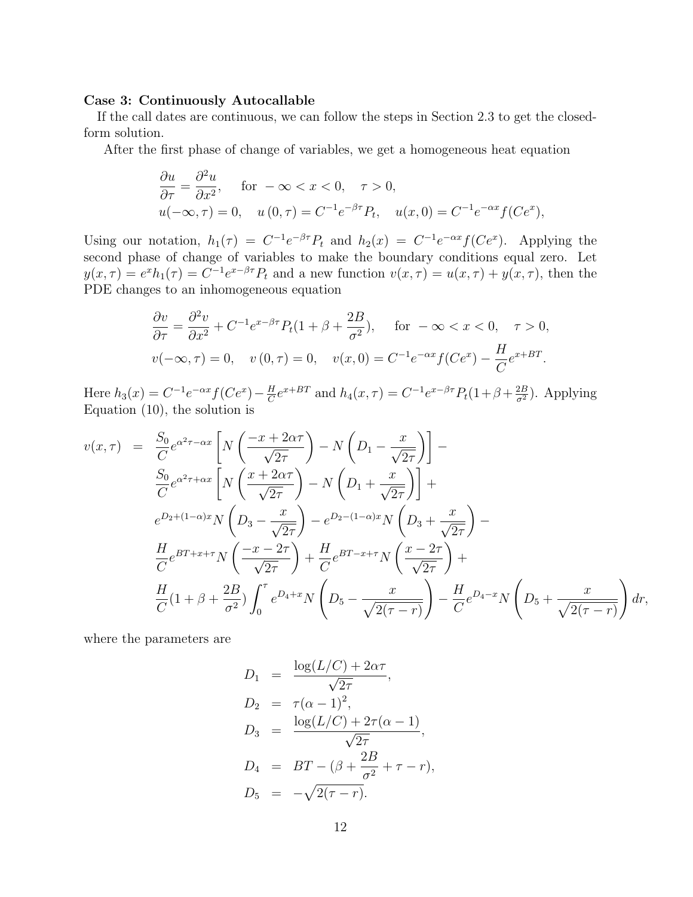#### **Case 3: Continuously Autocallable**

If the call dates are continuous, we can follow the steps in Section 2.3 to get the closedform solution.

After the first phase of change of variables, we get a homogeneous heat equation

$$
\frac{\partial u}{\partial \tau} = \frac{\partial^2 u}{\partial x^2}, \quad \text{for } -\infty < x < 0, \quad \tau > 0,
$$
\n
$$
u(-\infty, \tau) = 0, \quad u(0, \tau) = C^{-1} e^{-\beta \tau} P_t, \quad u(x, 0) = C^{-1} e^{-\alpha x} f(Ce^x),
$$

Using our notation,  $h_1(\tau) = C^{-1}e^{-\beta \tau}P_t$  and  $h_2(x) = C^{-1}e^{-\alpha x}f(Ce^x)$ . Applying the second phase of change of variables to make the boundary conditions equal zero. Let  $y(x, \tau) = e^x h_1(\tau) = C^{-1} e^{x-\beta \tau} P_t$  and a new function  $v(x, \tau) = u(x, \tau) + y(x, \tau)$ , then the PDE changes to an inhomogeneous equation

$$
\frac{\partial v}{\partial \tau} = \frac{\partial^2 v}{\partial x^2} + C^{-1} e^{x - \beta \tau} P_t (1 + \beta + \frac{2B}{\sigma^2}), \quad \text{for } -\infty < x < 0, \quad \tau > 0,
$$
\n
$$
v(-\infty, \tau) = 0, \quad v(0, \tau) = 0, \quad v(x, 0) = C^{-1} e^{-\alpha x} f(Ce^x) - \frac{H}{C} e^{x + BT}.
$$

 $H$ ere  $h_3(x) = C^{-1}e^{-\alpha x}f(Ce^x) - \frac{H}{C}$  $\frac{H}{C}e^{x+BT}$  and  $h_4(x,\tau) = C^{-1}e^{x-\beta\tau}P_t(1+\beta+\frac{2B}{\sigma^2})$ . Applying Equation (10), the solution is

$$
v(x,\tau) = \frac{S_0}{C} e^{\alpha^2 \tau - \alpha x} \left[ N \left( \frac{-x + 2\alpha \tau}{\sqrt{2\tau}} \right) - N \left( D_1 - \frac{x}{\sqrt{2\tau}} \right) \right] -
$$
  
\n
$$
\frac{S_0}{C} e^{\alpha^2 \tau + \alpha x} \left[ N \left( \frac{x + 2\alpha \tau}{\sqrt{2\tau}} \right) - N \left( D_1 + \frac{x}{\sqrt{2\tau}} \right) \right] +
$$
  
\n
$$
e^{D_2 + (1-\alpha)x} N \left( D_3 - \frac{x}{\sqrt{2\tau}} \right) - e^{D_2 - (1-\alpha)x} N \left( D_3 + \frac{x}{\sqrt{2\tau}} \right) -
$$
  
\n
$$
\frac{H}{C} e^{BT + x + \tau} N \left( \frac{-x - 2\tau}{\sqrt{2\tau}} \right) + \frac{H}{C} e^{BT - x + \tau} N \left( \frac{x - 2\tau}{\sqrt{2\tau}} \right) +
$$
  
\n
$$
\frac{H}{C} (1 + \beta + \frac{2B}{\sigma^2}) \int_0^{\tau} e^{D_4 + x} N \left( D_5 - \frac{x}{\sqrt{2(\tau - r)}} \right) - \frac{H}{C} e^{D_4 - x} N \left( D_5 + \frac{x}{\sqrt{2(\tau - r)}} \right) dr,
$$

where the parameters are

$$
D_1 = \frac{\log(L/C) + 2\alpha\tau}{\sqrt{2\tau}},
$$
  
\n
$$
D_2 = \tau(\alpha - 1)^2,
$$
  
\n
$$
D_3 = \frac{\log(L/C) + 2\tau(\alpha - 1)}{\sqrt{2\tau}},
$$
  
\n
$$
D_4 = BT - (\beta + \frac{2B}{\sigma^2} + \tau - r),
$$
  
\n
$$
D_5 = -\sqrt{2(\tau - r)}.
$$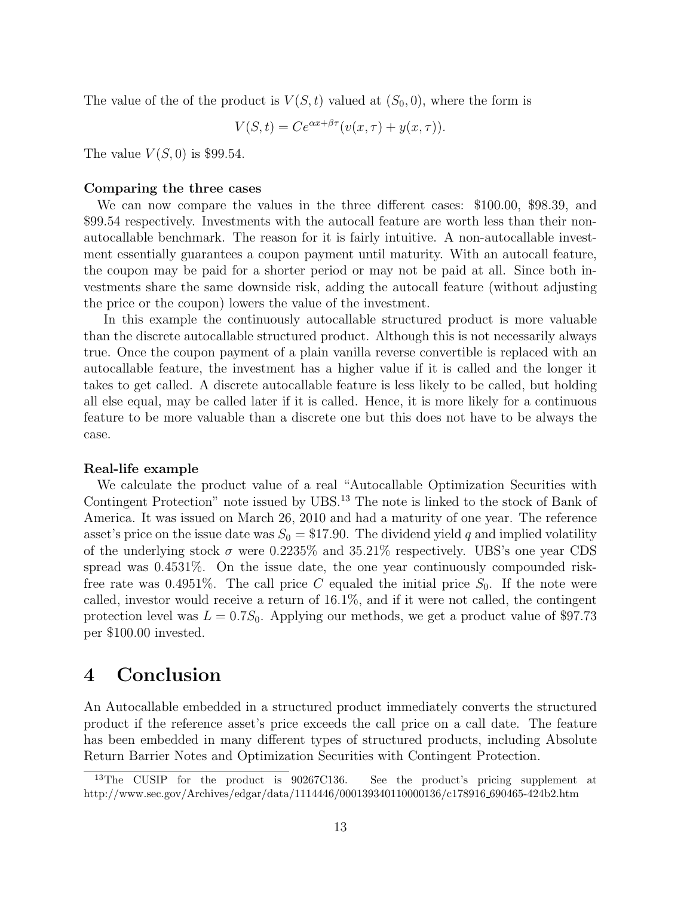The value of the of the product is  $V(S, t)$  valued at  $(S_0, 0)$ , where the form is

$$
V(S,t) = Ce^{\alpha x + \beta \tau} (v(x,\tau) + y(x,\tau)).
$$

The value  $V(S, 0)$  is \$99.54.

#### **Comparing the three cases**

We can now compare the values in the three different cases: \$100.00, \$98.39, and \$99.54 respectively. Investments with the autocall feature are worth less than their nonautocallable benchmark. The reason for it is fairly intuitive. A non-autocallable investment essentially guarantees a coupon payment until maturity. With an autocall feature, the coupon may be paid for a shorter period or may not be paid at all. Since both investments share the same downside risk, adding the autocall feature (without adjusting the price or the coupon) lowers the value of the investment.

In this example the continuously autocallable structured product is more valuable than the discrete autocallable structured product. Although this is not necessarily always true. Once the coupon payment of a plain vanilla reverse convertible is replaced with an autocallable feature, the investment has a higher value if it is called and the longer it takes to get called. A discrete autocallable feature is less likely to be called, but holding all else equal, may be called later if it is called. Hence, it is more likely for a continuous feature to be more valuable than a discrete one but this does not have to be always the case.

#### **Real-life example**

We calculate the product value of a real "Autocallable Optimization Securities with Contingent Protection" note issued by UBS.<sup>13</sup> The note is linked to the stock of Bank of America. It was issued on March 26, 2010 and had a maturity of one year. The reference asset's price on the issue date was  $S_0 = $17.90$ . The dividend yield q and implied volatility of the underlying stock  $\sigma$  were 0.2235% and 35.21% respectively. UBS's one year CDS spread was 0*.*4531%. On the issue date, the one year continuously compounded riskfree rate was 0.4951\%. The call price C equaled the initial price  $S_0$ . If the note were called, investor would receive a return of 16*.*1%, and if it were not called, the contingent protection level was  $L = 0.7S_0$ . Applying our methods, we get a product value of \$97.73 per \$100.00 invested.

## **4 Conclusion**

An Autocallable embedded in a structured product immediately converts the structured product if the reference asset's price exceeds the call price on a call date. The feature has been embedded in many different types of structured products, including Absolute Return Barrier Notes and Optimization Securities with Contingent Protection.

<sup>&</sup>lt;sup>13</sup>The CUSIP for the product is 90267C136. See the product's pricing supplement at http://www.sec.gov/Archives/edgar/data/1114446/000139340110000136/c178916 690465-424b2.htm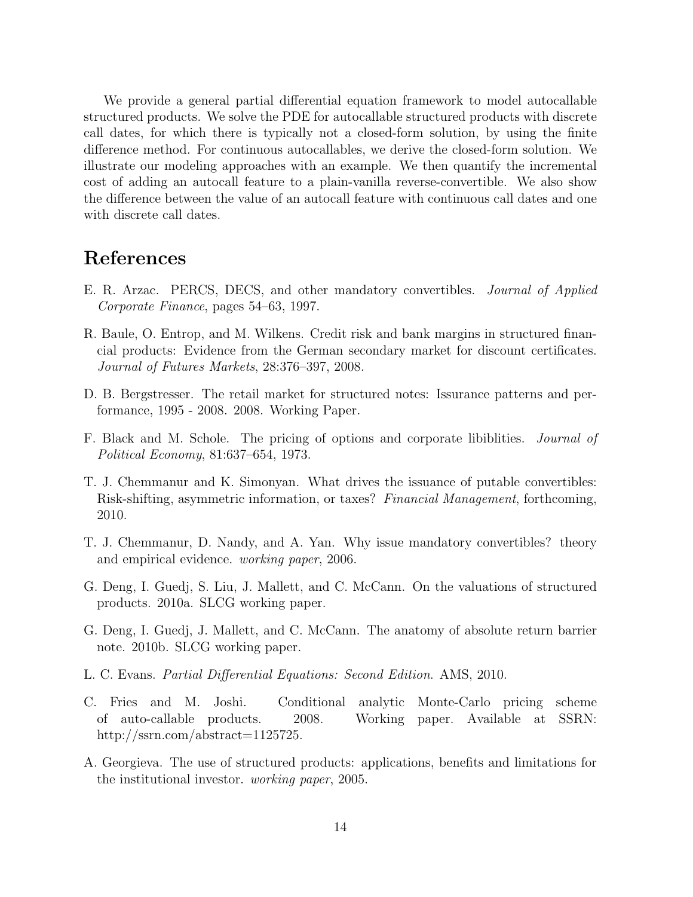We provide a general partial differential equation framework to model autocallable structured products. We solve the PDE for autocallable structured products with discrete call dates, for which there is typically not a closed-form solution, by using the finite difference method. For continuous autocallables, we derive the closed-form solution. We illustrate our modeling approaches with an example. We then quantify the incremental cost of adding an autocall feature to a plain-vanilla reverse-convertible. We also show the difference between the value of an autocall feature with continuous call dates and one with discrete call dates.

# **References**

- E. R. Arzac. PERCS, DECS, and other mandatory convertibles. *Journal of Applied Corporate Finance*, pages 54–63, 1997.
- R. Baule, O. Entrop, and M. Wilkens. Credit risk and bank margins in structured financial products: Evidence from the German secondary market for discount certificates. *Journal of Futures Markets*, 28:376–397, 2008.
- D. B. Bergstresser. The retail market for structured notes: Issurance patterns and performance, 1995 - 2008. 2008. Working Paper.
- F. Black and M. Schole. The pricing of options and corporate libiblities. *Journal of Political Economy*, 81:637–654, 1973.
- T. J. Chemmanur and K. Simonyan. What drives the issuance of putable convertibles: Risk-shifting, asymmetric information, or taxes? *Financial Management*, forthcoming, 2010.
- T. J. Chemmanur, D. Nandy, and A. Yan. Why issue mandatory convertibles? theory and empirical evidence. *working paper*, 2006.
- G. Deng, I. Guedj, S. Liu, J. Mallett, and C. McCann. On the valuations of structured products. 2010a. SLCG working paper.
- G. Deng, I. Guedj, J. Mallett, and C. McCann. The anatomy of absolute return barrier note. 2010b. SLCG working paper.
- L. C. Evans. *Partial Differential Equations: Second Edition*. AMS, 2010.
- C. Fries and M. Joshi. Conditional analytic Monte-Carlo pricing scheme of auto-callable products. 2008. Working paper. Available at SSRN: http://ssrn.com/abstract=1125725.
- A. Georgieva. The use of structured products: applications, benefits and limitations for the institutional investor. *working paper*, 2005.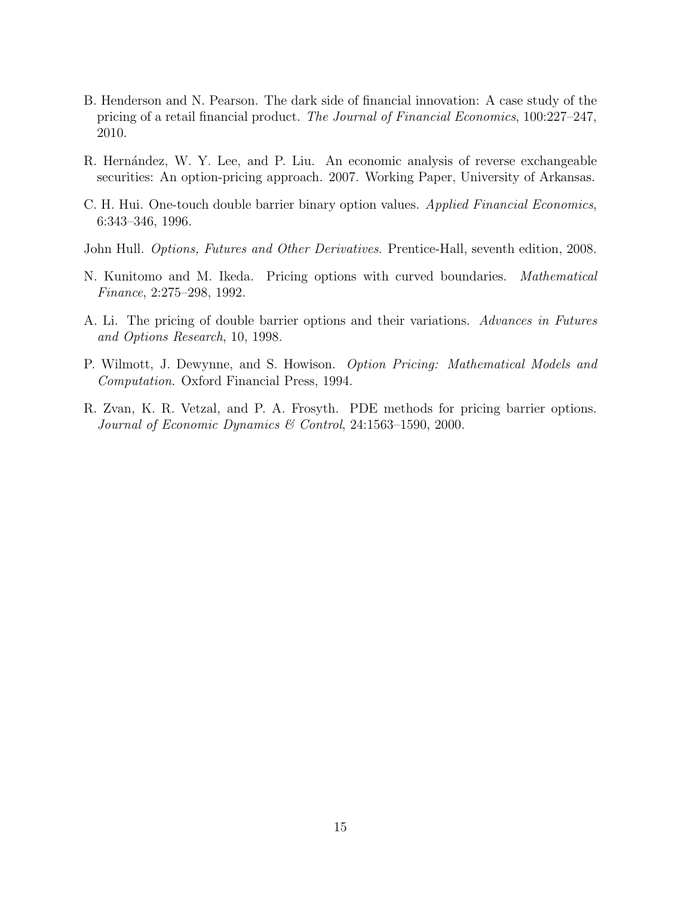- B. Henderson and N. Pearson. The dark side of financial innovation: A case study of the pricing of a retail financial product. *The Journal of Financial Economics*, 100:227–247, 2010.
- R. Hernández, W. Y. Lee, and P. Liu. An economic analysis of reverse exchangeable securities: An option-pricing approach. 2007. Working Paper, University of Arkansas.
- C. H. Hui. One-touch double barrier binary option values. *Applied Financial Economics*, 6:343–346, 1996.
- John Hull. *Options, Futures and Other Derivatives*. Prentice-Hall, seventh edition, 2008.
- N. Kunitomo and M. Ikeda. Pricing options with curved boundaries. *Mathematical Finance*, 2:275–298, 1992.
- A. Li. The pricing of double barrier options and their variations. *Advances in Futures and Options Research*, 10, 1998.
- P. Wilmott, J. Dewynne, and S. Howison. *Option Pricing: Mathematical Models and Computation*. Oxford Financial Press, 1994.
- R. Zvan, K. R. Vetzal, and P. A. Frosyth. PDE methods for pricing barrier options. *Journal of Economic Dynamics & Control*, 24:1563–1590, 2000.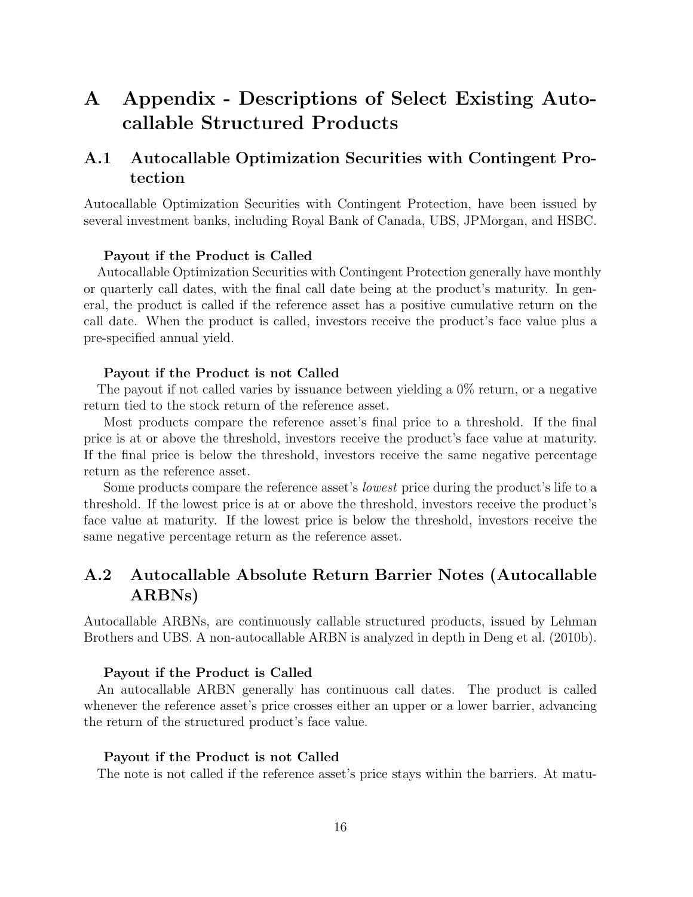# **A Appendix - Descriptions of Select Existing Autocallable Structured Products**

## **A.1 Autocallable Optimization Securities with Contingent Protection**

Autocallable Optimization Securities with Contingent Protection, have been issued by several investment banks, including Royal Bank of Canada, UBS, JPMorgan, and HSBC.

#### **Payout if the Product is Called**

Autocallable Optimization Securities with Contingent Protection generally have monthly or quarterly call dates, with the final call date being at the product's maturity. In general, the product is called if the reference asset has a positive cumulative return on the call date. When the product is called, investors receive the product's face value plus a pre-specified annual yield.

#### **Payout if the Product is not Called**

The payout if not called varies by issuance between yielding a 0% return, or a negative return tied to the stock return of the reference asset.

Most products compare the reference asset's final price to a threshold. If the final price is at or above the threshold, investors receive the product's face value at maturity. If the final price is below the threshold, investors receive the same negative percentage return as the reference asset.

Some products compare the reference asset's *lowest* price during the product's life to a threshold. If the lowest price is at or above the threshold, investors receive the product's face value at maturity. If the lowest price is below the threshold, investors receive the same negative percentage return as the reference asset.

## **A.2 Autocallable Absolute Return Barrier Notes (Autocallable ARBNs)**

Autocallable ARBNs, are continuously callable structured products, issued by Lehman Brothers and UBS. A non-autocallable ARBN is analyzed in depth in Deng et al. (2010b).

#### **Payout if the Product is Called**

An autocallable ARBN generally has continuous call dates. The product is called whenever the reference asset's price crosses either an upper or a lower barrier, advancing the return of the structured product's face value.

#### **Payout if the Product is not Called**

The note is not called if the reference asset's price stays within the barriers. At matu-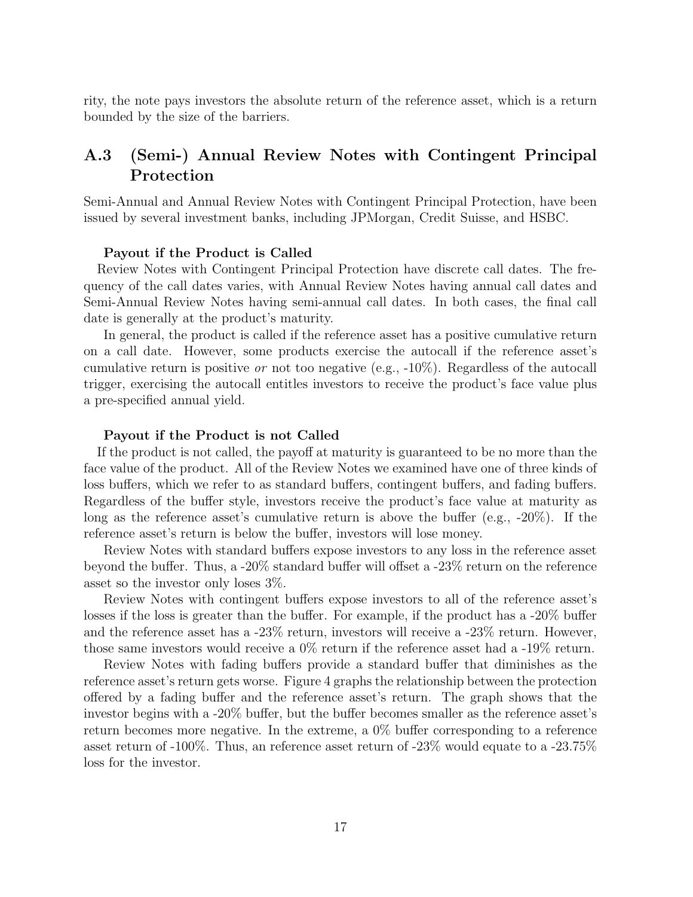rity, the note pays investors the absolute return of the reference asset, which is a return bounded by the size of the barriers.

## **A.3 (Semi-) Annual Review Notes with Contingent Principal Protection**

Semi-Annual and Annual Review Notes with Contingent Principal Protection, have been issued by several investment banks, including JPMorgan, Credit Suisse, and HSBC.

#### **Payout if the Product is Called**

Review Notes with Contingent Principal Protection have discrete call dates. The frequency of the call dates varies, with Annual Review Notes having annual call dates and Semi-Annual Review Notes having semi-annual call dates. In both cases, the final call date is generally at the product's maturity.

In general, the product is called if the reference asset has a positive cumulative return on a call date. However, some products exercise the autocall if the reference asset's cumulative return is positive *or* not too negative (e.g., -10%). Regardless of the autocall trigger, exercising the autocall entitles investors to receive the product's face value plus a pre-specified annual yield.

#### **Payout if the Product is not Called**

If the product is not called, the payoff at maturity is guaranteed to be no more than the face value of the product. All of the Review Notes we examined have one of three kinds of loss buffers, which we refer to as standard buffers, contingent buffers, and fading buffers. Regardless of the buffer style, investors receive the product's face value at maturity as long as the reference asset's cumulative return is above the buffer  $(e.g., -20\%)$ . If the reference asset's return is below the buffer, investors will lose money.

Review Notes with standard buffers expose investors to any loss in the reference asset beyond the buffer. Thus, a -20% standard buffer will offset a -23% return on the reference asset so the investor only loses 3%.

Review Notes with contingent buffers expose investors to all of the reference asset's losses if the loss is greater than the buffer. For example, if the product has a -20% buffer and the reference asset has a -23% return, investors will receive a -23% return. However, those same investors would receive a 0% return if the reference asset had a -19% return.

Review Notes with fading buffers provide a standard buffer that diminishes as the reference asset's return gets worse. Figure 4 graphs the relationship between the protection offered by a fading buffer and the reference asset's return. The graph shows that the investor begins with a -20% buffer, but the buffer becomes smaller as the reference asset's return becomes more negative. In the extreme, a 0% buffer corresponding to a reference asset return of -100%. Thus, an reference asset return of -23% would equate to a -23.75% loss for the investor.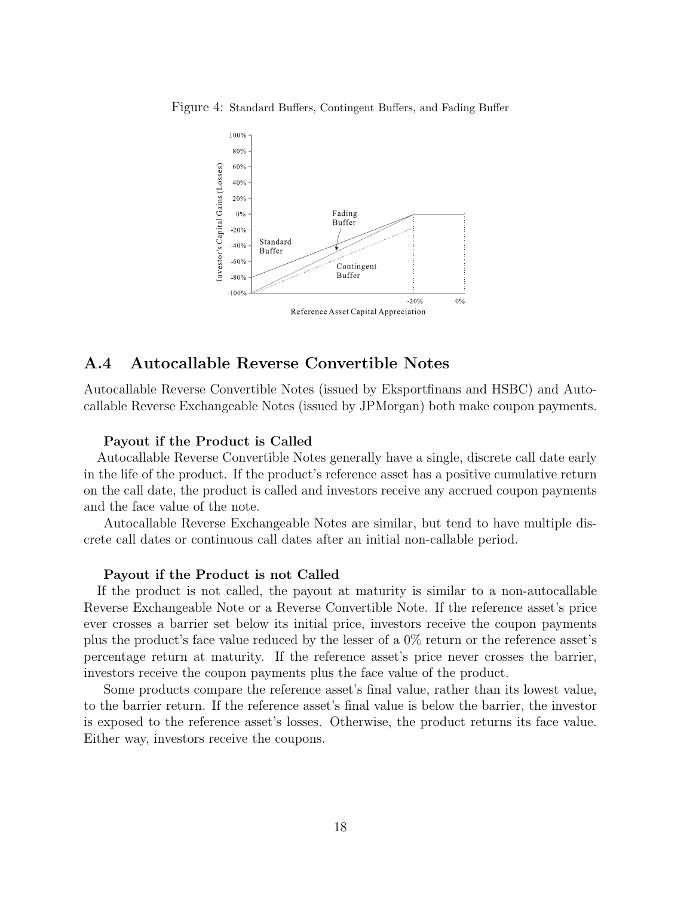



### **A.4 Autocallable Reverse Convertible Notes**

Autocallable Reverse Convertible Notes (issued by Eksportfinans and HSBC) and Autocallable Reverse Exchangeable Notes (issued by JPMorgan) both make coupon payments.

#### **Payout if the Product is Called**

Autocallable Reverse Convertible Notes generally have a single, discrete call date early in the life of the product. If the product's reference asset has a positive cumulative return on the call date, the product is called and investors receive any accrued coupon payments and the face value of the note.

Autocallable Reverse Exchangeable Notes are similar, but tend to have multiple discrete call dates or continuous call dates after an initial non-callable period.

#### **Payout if the Product is not Called**

If the product is not called, the payout at maturity is similar to a non-autocallable Reverse Exchangeable Note or a Reverse Convertible Note. If the reference asset's price ever crosses a barrier set below its initial price, investors receive the coupon payments plus the product's face value reduced by the lesser of a 0% return or the reference asset's percentage return at maturity. If the reference asset's price never crosses the barrier, investors receive the coupon payments plus the face value of the product.

Some products compare the reference asset's final value, rather than its lowest value, to the barrier return. If the reference asset's final value is below the barrier, the investor is exposed to the reference asset's losses. Otherwise, the product returns its face value. Either way, investors receive the coupons.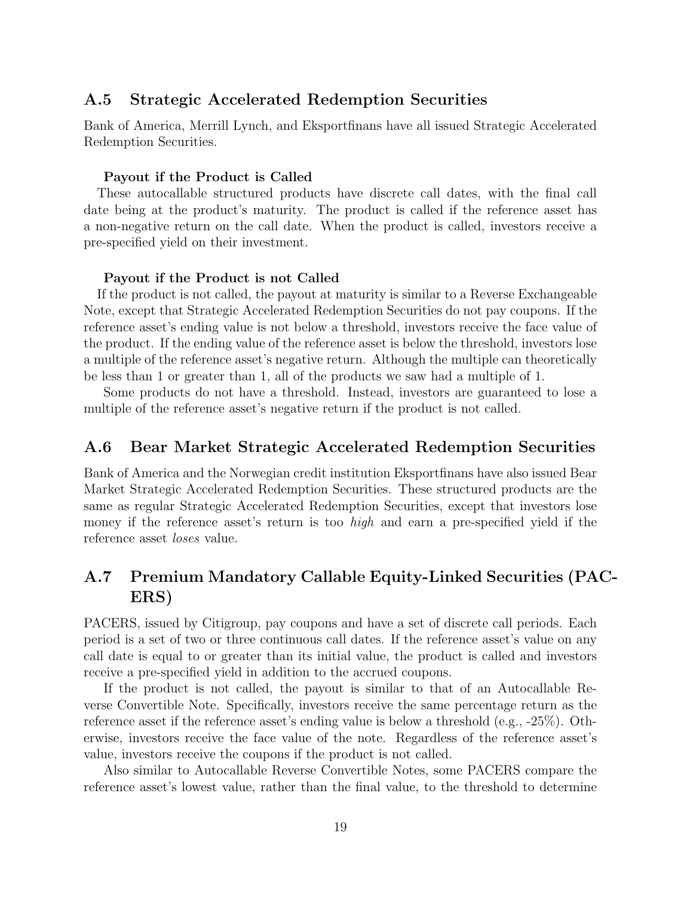### **A.5 Strategic Accelerated Redemption Securities**

Bank of America, Merrill Lynch, and Eksportfinans have all issued Strategic Accelerated Redemption Securities.

#### **Payout if the Product is Called**

These autocallable structured products have discrete call dates, with the final call date being at the product's maturity. The product is called if the reference asset has a non-negative return on the call date. When the product is called, investors receive a pre-specified yield on their investment.

#### **Payout if the Product is not Called**

If the product is not called, the payout at maturity is similar to a Reverse Exchangeable Note, except that Strategic Accelerated Redemption Securities do not pay coupons. If the reference asset's ending value is not below a threshold, investors receive the face value of the product. If the ending value of the reference asset is below the threshold, investors lose a multiple of the reference asset's negative return. Although the multiple can theoretically be less than 1 or greater than 1, all of the products we saw had a multiple of 1.

Some products do not have a threshold. Instead, investors are guaranteed to lose a multiple of the reference asset's negative return if the product is not called.

### **A.6 Bear Market Strategic Accelerated Redemption Securities**

Bank of America and the Norwegian credit institution Eksportfinans have also issued Bear Market Strategic Accelerated Redemption Securities. These structured products are the same as regular Strategic Accelerated Redemption Securities, except that investors lose money if the reference asset's return is too *high* and earn a pre-specified yield if the reference asset *loses* value.

## **A.7 Premium Mandatory Callable Equity-Linked Securities (PAC-ERS)**

PACERS, issued by Citigroup, pay coupons and have a set of discrete call periods. Each period is a set of two or three continuous call dates. If the reference asset's value on any call date is equal to or greater than its initial value, the product is called and investors receive a pre-specified yield in addition to the accrued coupons.

If the product is not called, the payout is similar to that of an Autocallable Reverse Convertible Note. Specifically, investors receive the same percentage return as the reference asset if the reference asset's ending value is below a threshold (e.g., -25%). Otherwise, investors receive the face value of the note. Regardless of the reference asset's value, investors receive the coupons if the product is not called.

Also similar to Autocallable Reverse Convertible Notes, some PACERS compare the reference asset's lowest value, rather than the final value, to the threshold to determine